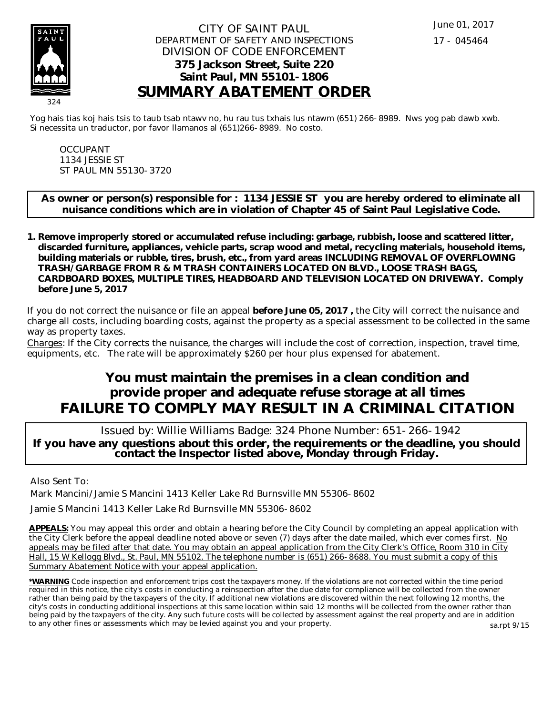

## CITY OF SAINT PAUL DEPARTMENT OF SAFETY AND INSPECTIONS DIVISION OF CODE ENFORCEMENT **375 Jackson Street, Suite 220 Saint Paul, MN 55101-1806 SUMMARY ABATEMENT ORDER**

Yog hais tias koj hais tsis to taub tsab ntawv no, hu rau tus txhais lus ntawm (651) 266-8989. Nws yog pab dawb xwb. Si necessita un traductor, por favor llamanos al (651)266-8989. No costo.

OCCUPANT 1134 JESSIE ST ST PAUL MN 55130-3720

**As owner or person(s) responsible for : 1134 JESSIE ST you are hereby ordered to eliminate all nuisance conditions which are in violation of Chapter 45 of Saint Paul Legislative Code.**

**Remove improperly stored or accumulated refuse including: garbage, rubbish, loose and scattered litter, 1. discarded furniture, appliances, vehicle parts, scrap wood and metal, recycling materials, household items, building materials or rubble, tires, brush, etc., from yard areas INCLUDING REMOVAL OF OVERFLOWING TRASH/GARBAGE FROM R & M TRASH CONTAINERS LOCATED ON BLVD., LOOSE TRASH BAGS, CARDBOARD BOXES, MULTIPLE TIRES, HEADBOARD AND TELEVISION LOCATED ON DRIVEWAY. Comply before June 5, 2017**

If you do not correct the nuisance or file an appeal **before June 05, 2017 ,** the City will correct the nuisance and charge all costs, including boarding costs, against the property as a special assessment to be collected in the same way as property taxes.

Charges: If the City corrects the nuisance, the charges will include the cost of correction, inspection, travel time, equipments, etc. The rate will be approximately \$260 per hour plus expensed for abatement.

# **You must maintain the premises in a clean condition and provide proper and adequate refuse storage at all times FAILURE TO COMPLY MAY RESULT IN A CRIMINAL CITATION**

 Issued by: Willie Williams Badge: 324 Phone Number: 651-266-1942 **If you have any questions about this order, the requirements or the deadline, you should contact the Inspector listed above, Monday through Friday.**

Also Sent To:

Mark Mancini/Jamie S Mancini 1413 Keller Lake Rd Burnsville MN 55306-8602

Jamie S Mancini 1413 Keller Lake Rd Burnsville MN 55306-8602

**APPEALS:** You may appeal this order and obtain a hearing before the City Council by completing an appeal application with the City Clerk before the appeal deadline noted above or seven (7) days after the date mailed, which ever comes first. No appeals may be filed after that date. You may obtain an appeal application from the City Clerk's Office, Room 310 in City Hall, 15 W Kellogg Blvd., St. Paul, MN 55102. The telephone number is (651) 266-8688. You must submit a copy of this Summary Abatement Notice with your appeal application.

**\*WARNING** Code inspection and enforcement trips cost the taxpayers money. If the violations are not corrected within the time period required in this notice, the city's costs in conducting a reinspection after the due date for compliance will be collected from the owner rather than being paid by the taxpayers of the city. If additional new violations are discovered within the next following 12 months, the city's costs in conducting additional inspections at this same location within said 12 months will be collected from the owner rather than being paid by the taxpayers of the city. Any such future costs will be collected by assessment against the real property and are in addition to any other fines or assessments which may be levied against you and your property. sa.rpt 9/15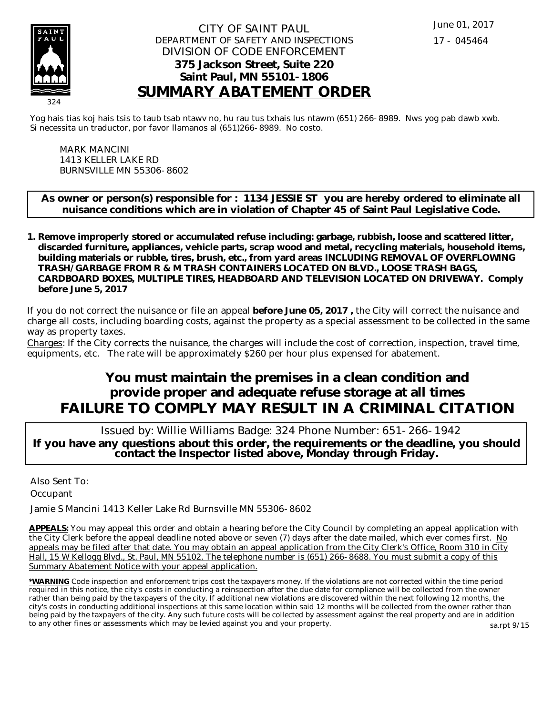

## CITY OF SAINT PAUL DEPARTMENT OF SAFETY AND INSPECTIONS DIVISION OF CODE ENFORCEMENT **375 Jackson Street, Suite 220 Saint Paul, MN 55101-1806 SUMMARY ABATEMENT ORDER**

Yog hais tias koj hais tsis to taub tsab ntawv no, hu rau tus txhais lus ntawm (651) 266-8989. Nws yog pab dawb xwb. Si necessita un traductor, por favor llamanos al (651)266-8989. No costo.

MARK MANCINI 1413 KELLER LAKE RD BURNSVILLE MN 55306-8602

**As owner or person(s) responsible for : 1134 JESSIE ST you are hereby ordered to eliminate all nuisance conditions which are in violation of Chapter 45 of Saint Paul Legislative Code.**

**Remove improperly stored or accumulated refuse including: garbage, rubbish, loose and scattered litter, 1. discarded furniture, appliances, vehicle parts, scrap wood and metal, recycling materials, household items, building materials or rubble, tires, brush, etc., from yard areas INCLUDING REMOVAL OF OVERFLOWING TRASH/GARBAGE FROM R & M TRASH CONTAINERS LOCATED ON BLVD., LOOSE TRASH BAGS, CARDBOARD BOXES, MULTIPLE TIRES, HEADBOARD AND TELEVISION LOCATED ON DRIVEWAY. Comply before June 5, 2017**

If you do not correct the nuisance or file an appeal **before June 05, 2017 ,** the City will correct the nuisance and charge all costs, including boarding costs, against the property as a special assessment to be collected in the same way as property taxes.

Charges: If the City corrects the nuisance, the charges will include the cost of correction, inspection, travel time, equipments, etc. The rate will be approximately \$260 per hour plus expensed for abatement.

# **You must maintain the premises in a clean condition and provide proper and adequate refuse storage at all times FAILURE TO COMPLY MAY RESULT IN A CRIMINAL CITATION**

 Issued by: Willie Williams Badge: 324 Phone Number: 651-266-1942 **If you have any questions about this order, the requirements or the deadline, you should contact the Inspector listed above, Monday through Friday.**

Also Sent To: **Occupant** 

Jamie S Mancini 1413 Keller Lake Rd Burnsville MN 55306-8602

**APPEALS:** You may appeal this order and obtain a hearing before the City Council by completing an appeal application with the City Clerk before the appeal deadline noted above or seven (7) days after the date mailed, which ever comes first. No appeals may be filed after that date. You may obtain an appeal application from the City Clerk's Office, Room 310 in City Hall, 15 W Kellogg Blvd., St. Paul, MN 55102. The telephone number is (651) 266-8688. You must submit a copy of this Summary Abatement Notice with your appeal application.

**\*WARNING** Code inspection and enforcement trips cost the taxpayers money. If the violations are not corrected within the time period required in this notice, the city's costs in conducting a reinspection after the due date for compliance will be collected from the owner rather than being paid by the taxpayers of the city. If additional new violations are discovered within the next following 12 months, the city's costs in conducting additional inspections at this same location within said 12 months will be collected from the owner rather than being paid by the taxpayers of the city. Any such future costs will be collected by assessment against the real property and are in addition to any other fines or assessments which may be levied against you and your property. sa.rpt 9/15